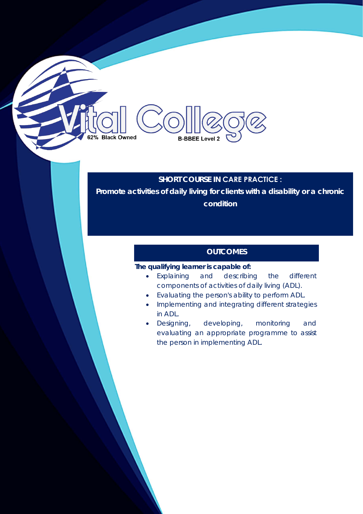**B-BBEE Level 2** 

62% Black Owned

## **SHORT COURSE IN CARE PRACTICE :**

**Promote activities of daily living for clients with a disability or a chronic condition** 

# **OUTCOMES**

## **The qualifying learner is capable of:**

- Explaining and describing the different components of activities of daily living (ADL).
- Evaluating the person's ability to perform ADL.
- Implementing and integrating different strategies in ADL.
- Designing, developing, monitoring and evaluating an appropriate programme to assist the person in implementing ADL.